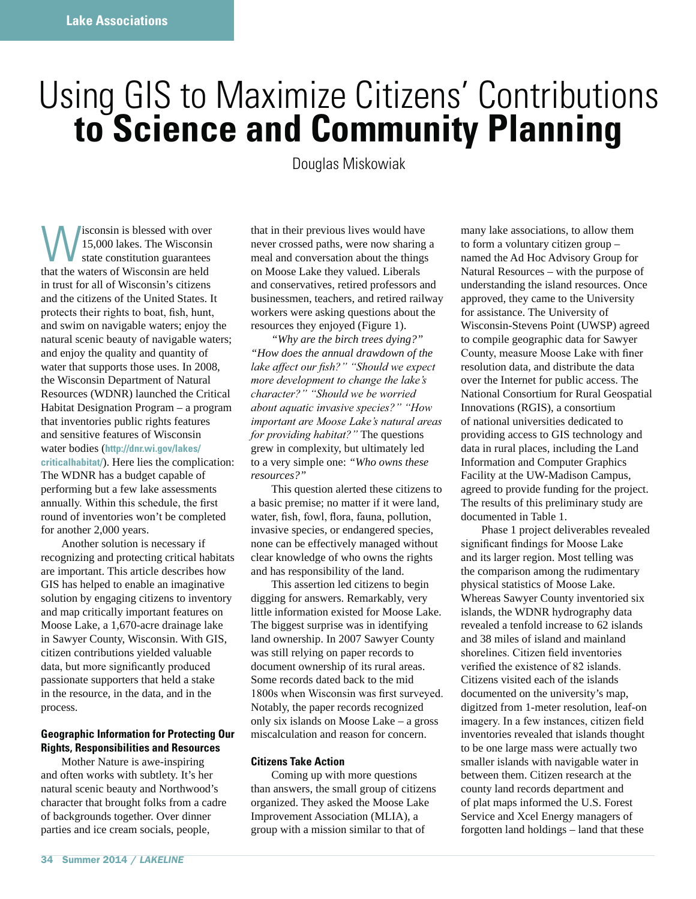# Using GIS to Maximize Citizens' Contributions **to Science and Community Planning**

Douglas Miskowiak

Wisconsin is blessed with over<br>15,000 lakes. The Wisconsin<br>that the waters of Wisconsin are held 15,000 lakes. The Wisconsin state constitution guarantees that the waters of Wisconsin are held in trust for all of Wisconsin's citizens and the citizens of the United States. It protects their rights to boat, fish, hunt, and swim on navigable waters; enjoy the natural scenic beauty of navigable waters; and enjoy the quality and quantity of water that supports those uses. In 2008, the Wisconsin Department of Natural Resources (WDNR) launched the Critical Habitat Designation Program – a program that inventories public rights features and sensitive features of Wisconsin water bodies (**http://dnr.wi.gov/lakes/ criticalhabitat/**). Here lies the complication: The WDNR has a budget capable of performing but a few lake assessments annually. Within this schedule, the first round of inventories won't be completed for another 2,000 years.

 Another solution is necessary if recognizing and protecting critical habitats are important. This article describes how GIS has helped to enable an imaginative solution by engaging citizens to inventory and map critically important features on Moose Lake, a 1,670-acre drainage lake in Sawyer County, Wisconsin. With GIS, citizen contributions yielded valuable data, but more significantly produced passionate supporters that held a stake in the resource, in the data, and in the process.

# **Geographic Information for Protecting Our Rights, Responsibilities and Resources**

 Mother Nature is awe-inspiring and often works with subtlety. It's her natural scenic beauty and Northwood's character that brought folks from a cadre of backgrounds together. Over dinner parties and ice cream socials, people,

that in their previous lives would have never crossed paths, were now sharing a meal and conversation about the things on Moose Lake they valued. Liberals and conservatives, retired professors and businessmen, teachers, and retired railway workers were asking questions about the resources they enjoyed (Figure 1).

*"Why are the birch trees dying?" "How does the annual drawdown of the lake affect our fish?*" "Should we expect *PROFE development to change the lake's* character?" "Should we be worried *about aquatic invasive species?"* "How *important are Moose Lake's natural areas for providing habitat?*" The questions grew in complexity, but ultimately led to a very simple one: *"Who owns these resources?"*

 This question alerted these citizens to a basic premise; no matter if it were land, water, fish, fowl, flora, fauna, pollution, invasive species, or endangered species, none can be effectively managed without clear knowledge of who owns the rights and has responsibility of the land.

 This assertion led citizens to begin digging for answers. Remarkably, very little information existed for Moose Lake. The biggest surprise was in identifying land ownership. In 2007 Sawyer County was still relying on paper records to document ownership of its rural areas. Some records dated back to the mid 1800s when Wisconsin was first surveyed. Notably, the paper records recognized only six islands on Moose Lake – a gross miscalculation and reason for concern.

# **Citizens Take Action**

 Coming up with more questions than answers, the small group of citizens organized. They asked the Moose Lake Improvement Association (MLIA), a group with a mission similar to that of

many lake associations, to allow them to form a voluntary citizen group – named the Ad Hoc Advisory Group for Natural Resources – with the purpose of understanding the island resources. Once approved, they came to the University for assistance. The University of Wisconsin-Stevens Point (UWSP) agreed to compile geographic data for Sawyer County, measure Moose Lake with finer resolution data, and distribute the data over the Internet for public access. The National Consortium for Rural Geospatial Innovations (RGIS), a consortium of national universities dedicated to providing access to GIS technology and data in rural places, including the Land Information and Computer Graphics Facility at the UW-Madison Campus, agreed to provide funding for the project. The results of this preliminary study are documented in Table 1.

 Phase 1 project deliverables revealed significant findings for Moose Lake and its larger region. Most telling was the comparison among the rudimentary physical statistics of Moose Lake. Whereas Sawyer County inventoried six islands, the WDNR hydrography data revealed a tenfold increase to 62 islands and 38 miles of island and mainland shorelines. Citizen field inventories verified the existence of  $82$  islands. Citizens visited each of the islands documented on the university's map, digitzed from 1-meter resolution, leaf-on imagery. In a few instances, citizen field inventories revealed that islands thought to be one large mass were actually two smaller islands with navigable water in between them. Citizen research at the county land records department and of plat maps informed the U.S. Forest Service and Xcel Energy managers of forgotten land holdings – land that these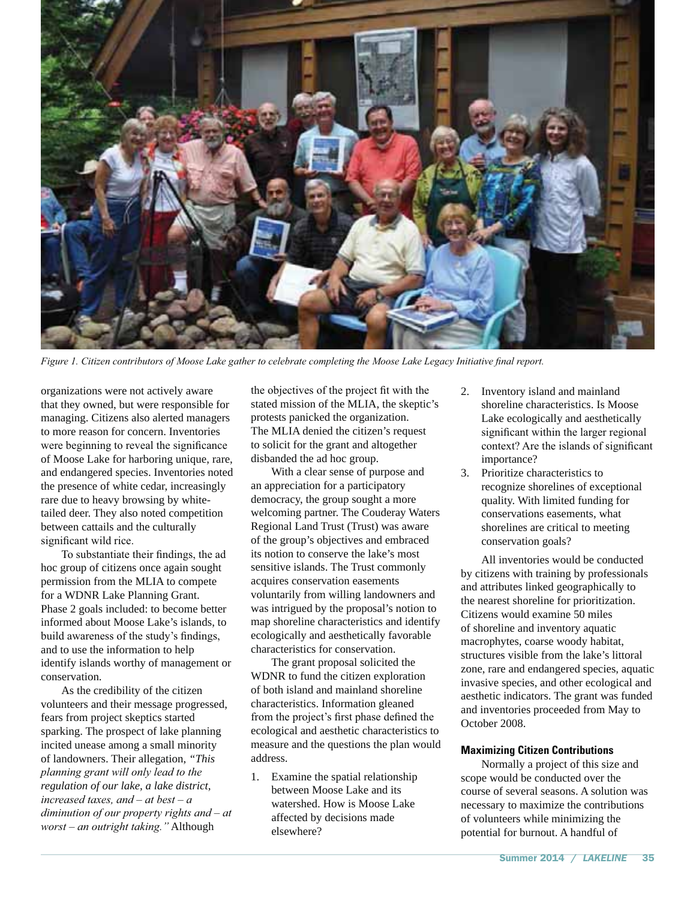

Figure 1. Citizen contributors of Moose Lake gather to celebrate completing the Moose Lake Legacy Initiative final report.

organizations were not actively aware that they owned, but were responsible for managing. Citizens also alerted managers to more reason for concern. Inventories were beginning to reveal the significance of Moose Lake for harboring unique, rare, and endangered species. Inventories noted the presence of white cedar, increasingly rare due to heavy browsing by whitetailed deer. They also noted competition between cattails and the culturally significant wild rice.

To substantiate their findings, the ad hoc group of citizens once again sought permission from the MLIA to compete for a WDNR Lake Planning Grant. Phase 2 goals included: to become better informed about Moose Lake's islands, to build awareness of the study's findings, and to use the information to help identify islands worthy of management or conservation.

 As the credibility of the citizen volunteers and their message progressed, fears from project skeptics started sparking. The prospect of lake planning incited unease among a small minority of landowners. Their allegation, *"This*  planning grant will only lead to the *regulation of our lake, a lake district,*   $linereased$  taxes, and – at best – a *diminution of our property rights and – at worst* - an outright taking." Although

the objectives of the project fit with the stated mission of the MLIA, the skeptic's protests panicked the organization. The MLIA denied the citizen's request to solicit for the grant and altogether disbanded the ad hoc group.

 With a clear sense of purpose and an appreciation for a participatory democracy, the group sought a more welcoming partner. The Couderay Waters Regional Land Trust (Trust) was aware of the group's objectives and embraced its notion to conserve the lake's most sensitive islands. The Trust commonly acquires conservation easements voluntarily from willing landowners and was intrigued by the proposal's notion to map shoreline characteristics and identify ecologically and aesthetically favorable characteristics for conservation.

 The grant proposal solicited the WDNR to fund the citizen exploration of both island and mainland shoreline characteristics. Information gleaned from the project's first phase defined the ecological and aesthetic characteristics to measure and the questions the plan would address.

1. Examine the spatial relationship between Moose Lake and its watershed. How is Moose Lake affected by decisions made elsewhere?

- 2. Inventory island and mainland shoreline characteristics. Is Moose Lake ecologically and aesthetically significant within the larger regional context? Are the islands of significant importance?
- 3. Prioritize characteristics to recognize shorelines of exceptional quality. With limited funding for conservations easements, what shorelines are critical to meeting conservation goals?

 All inventories would be conducted by citizens with training by professionals and attributes linked geographically to the nearest shoreline for prioritization. Citizens would examine 50 miles of shoreline and inventory aquatic macrophytes, coarse woody habitat, structures visible from the lake's littoral zone, rare and endangered species, aquatic invasive species, and other ecological and aesthetic indicators. The grant was funded and inventories proceeded from May to October 2008.

# **Maximizing Citizen Contributions**

 Normally a project of this size and scope would be conducted over the course of several seasons. A solution was necessary to maximize the contributions of volunteers while minimizing the potential for burnout. A handful of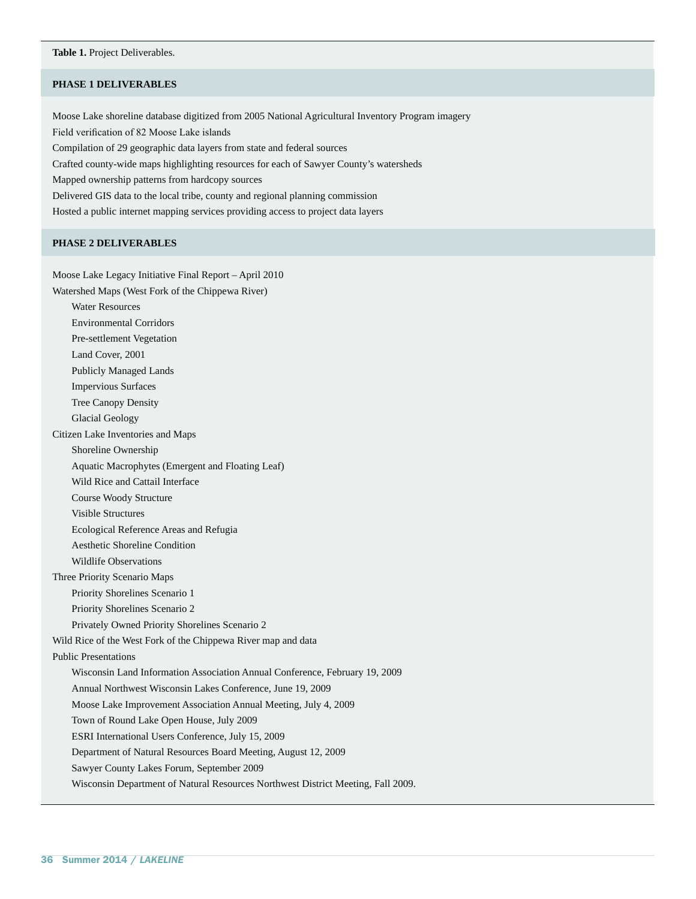#### **Table 1.** Project Deliverables.

#### **PHASE 1 DELIVERABLES**

Moose Lake shoreline database digitized from 2005 National Agricultural Inventory Program imagery Field verification of 82 Moose Lake islands Compilation of 29 geographic data layers from state and federal sources Crafted county-wide maps highlighting resources for each of Sawyer County's watersheds Mapped ownership patterns from hardcopy sources Delivered GIS data to the local tribe, county and regional planning commission Hosted a public internet mapping services providing access to project data layers

## **PHASE 2 DELIVERABLES**

Moose Lake Legacy Initiative Final Report – April 2010 Watershed Maps (West Fork of the Chippewa River) Water Resources Environmental Corridors Pre-settlement Vegetation Land Cover, 2001 Publicly Managed Lands Impervious Surfaces Tree Canopy Density Glacial Geology Citizen Lake Inventories and Maps Shoreline Ownership Aquatic Macrophytes (Emergent and Floating Leaf) Wild Rice and Cattail Interface Course Woody Structure Visible Structures Ecological Reference Areas and Refugia Aesthetic Shoreline Condition Wildlife Observations Three Priority Scenario Maps Priority Shorelines Scenario 1 Priority Shorelines Scenario 2 Privately Owned Priority Shorelines Scenario 2 Wild Rice of the West Fork of the Chippewa River map and data Public Presentations Wisconsin Land Information Association Annual Conference, February 19, 2009 Annual Northwest Wisconsin Lakes Conference, June 19, 2009 Moose Lake Improvement Association Annual Meeting, July 4, 2009 Town of Round Lake Open House, July 2009 ESRI International Users Conference, July 15, 2009 Department of Natural Resources Board Meeting, August 12, 2009 Sawyer County Lakes Forum, September 2009 Wisconsin Department of Natural Resources Northwest District Meeting, Fall 2009.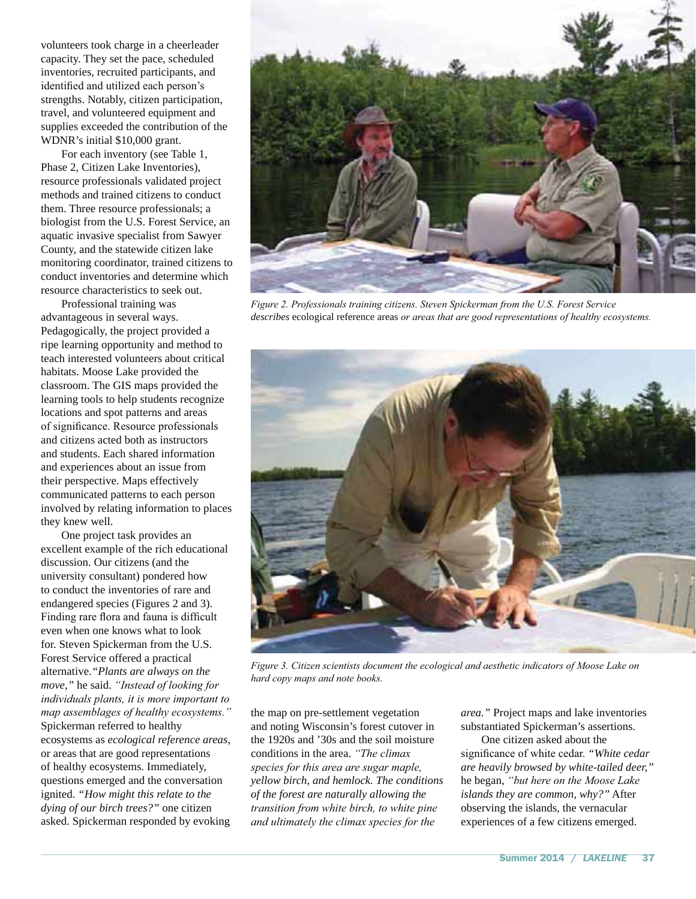volunteers took charge in a cheerleader capacity. They set the pace, scheduled inventories, recruited participants, and identified and utilized each person's strengths. Notably, citizen participation, travel, and volunteered equipment and supplies exceeded the contribution of the WDNR's initial \$10,000 grant.

 For each inventory (see Table 1, Phase 2, Citizen Lake Inventories), resource professionals validated project methods and trained citizens to conduct them. Three resource professionals; a biologist from the U.S. Forest Service, an aquatic invasive specialist from Sawyer County, and the statewide citizen lake monitoring coordinator, trained citizens to conduct inventories and determine which resource characteristics to seek out.

 Professional training was advantageous in several ways. Pedagogically, the project provided a ripe learning opportunity and method to teach interested volunteers about critical habitats. Moose Lake provided the classroom. The GIS maps provided the learning tools to help students recognize locations and spot patterns and areas of significance. Resource professionals and citizens acted both as instructors and students. Each shared information and experiences about an issue from their perspective. Maps effectively communicated patterns to each person involved by relating information to places they knew well.

 One project task provides an excellent example of the rich educational discussion. Our citizens (and the university consultant) pondered how to conduct the inventories of rare and endangered species (Figures 2 and 3). Finding rare flora and fauna is difficult even when one knows what to look for. Steven Spickerman from the U.S. Forest Service offered a practical alternative.*"Plants are always on the move,"* he said. "Instead of looking for *individuals plants, it is more important to* map assemblages of healthy ecosystems." Spickerman referred to healthy ecosystems as *ecological reference areas*, or areas that are good representations of healthy ecosystems. Immediately, questions emerged and the conversation ignited. *"How might this relate to the dying of our birch trees?"* one citizen asked. Spickerman responded by evoking



Figure 2. Professionals training citizens. Steven Spickerman from the U.S. Forest Service *describes* ecological reference areas *or areas that are good representations of healthy ecosystems*.



Figure 3. Citizen scientists document the ecological and aesthetic indicators of Moose Lake on hard copy maps and note books.

the map on pre-settlement vegetation and noting Wisconsin's forest cutover in the 1920s and '30s and the soil moisture conditions in the area. "The climax species for this area are sugar maple, *yellow birch, and hemlock. The conditions of the forest are naturally allowing the transition from white birch, to white pine and ultimately the climax species for the* 

*area."* Project maps and lake inventories substantiated Spickerman's assertions.

 One citizen asked about the significance of white cedar. "White cedar *are heavily browsed by white-tailed deer,"* he began, "but here on the Moose Lake *islands they are common, why?"* After observing the islands, the vernacular experiences of a few citizens emerged.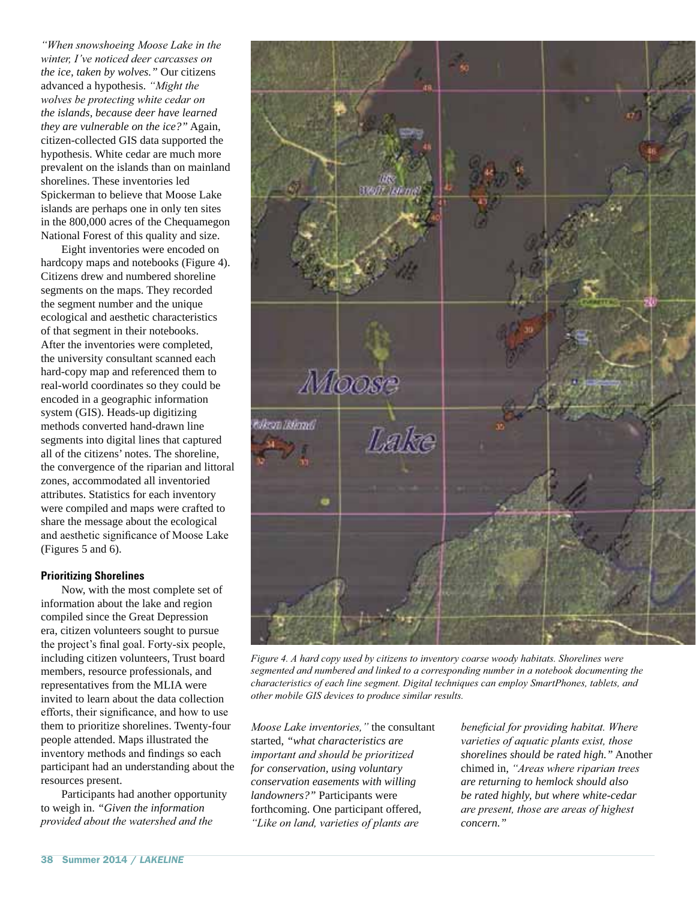*a*: *When snowshoeing Moose Lake in the Winter, I've noticed deer carcasses on the ice, taken by wolves."* Our citizens advanced a hypothesis. "Might the *z* wolves be protecting white cedar on *the islands, because deer have learned they are vulnerable on the ice?"* Again, citizen-collected GIS data supported the hypothesis. White cedar are much more prevalent on the islands than on mainland shorelines. These inventories led Spickerman to believe that Moose Lake islands are perhaps one in only ten sites in the 800,000 acres of the Chequamegon National Forest of this quality and size.

 Eight inventories were encoded on hardcopy maps and notebooks (Figure 4). Citizens drew and numbered shoreline segments on the maps. They recorded the segment number and the unique ecological and aesthetic characteristics of that segment in their notebooks. After the inventories were completed, the university consultant scanned each hard-copy map and referenced them to real-world coordinates so they could be encoded in a geographic information system (GIS). Heads-up digitizing methods converted hand-drawn line segments into digital lines that captured all of the citizens' notes. The shoreline, the convergence of the riparian and littoral zones, accommodated all inventoried attributes. Statistics for each inventory were compiled and maps were crafted to share the message about the ecological and aesthetic significance of Moose Lake (Figures 5 and 6).

# **Prioritizing Shorelines**

 Now, with the most complete set of information about the lake and region compiled since the Great Depression era, citizen volunteers sought to pursue the project's final goal. Forty-six people, including citizen volunteers, Trust board members, resource professionals, and representatives from the MLIA were invited to learn about the data collection efforts, their significance, and how to use them to prioritize shorelines. Twenty-four people attended. Maps illustrated the inventory methods and findings so each participant had an understanding about the resources present.

 Participants had another opportunity to weigh in. *"Given the information provided about the watershed and the* 



Figure 4. A hard copy used by citizens to inventory coarse woody habitats. Shorelines were *Segmented and numbered and linked to a corresponding number in a notebook documenting the characteristics of each line segment. Digital techniques can employ SmartPhones, tablets, and* other mobile GIS devices to produce similar results.

*Moose Lake inventories,"* the consultant started, *"what characteristics are important and should be prioritized for conservation, using voluntary conservation easements with willing landowners?"* Participants were forthcoming. One participant offered, *"Like on land, varieties of plants are* 

*beneficial for providing habitat. Where varieties of aquatic plants exist, those shorelines should be rated high."* Another chimed in, "Areas where riparian trees *are returning to hemlock should also be rated highly, but where white-cedar are present, those are areas of highest concern."*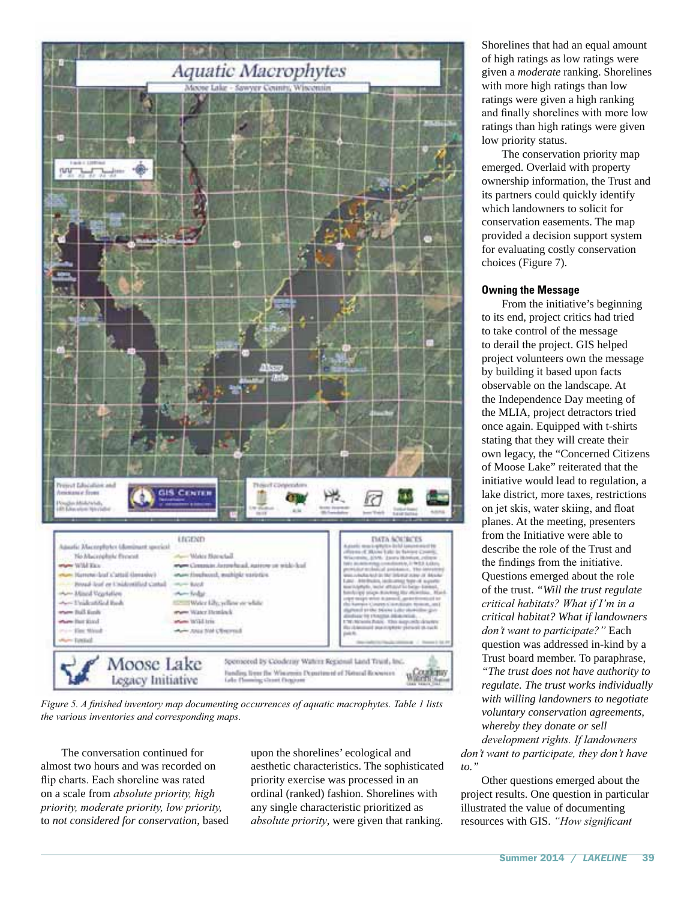

*Figure 5. A finished inventory map documenting occurrences of aquatic macrophytes. Table 1 lists* the various inventories and corresponding maps.

 The conversation continued for almost two hours and was recorded on flip charts. Each shoreline was rated on a scale from *absolute priority*, high priority, moderate priority, low priority, to *not considered for conservation*, based

upon the shorelines' ecological and aesthetic characteristics. The sophisticated priority exercise was processed in an ordinal (ranked) fashion. Shorelines with any single characteristic prioritized as *absolute priority*, were given that ranking.

Shorelines that had an equal amount of high ratings as low ratings were given a *moderate* ranking. Shorelines with more high ratings than low ratings were given a high ranking and finally shorelines with more low ratings than high ratings were given low priority status.

 The conservation priority map emerged. Overlaid with property ownership information, the Trust and its partners could quickly identify which landowners to solicit for conservation easements. The map provided a decision support system for evaluating costly conservation choices (Figure 7).

## **Owning the Message**

 From the initiative's beginning to its end, project critics had tried to take control of the message to derail the project. GIS helped project volunteers own the message by building it based upon facts observable on the landscape. At the Independence Day meeting of the MLIA, project detractors tried once again. Equipped with t-shirts stating that they will create their own legacy, the "Concerned Citizens of Moose Lake" reiterated that the initiative would lead to regulation, a lake district, more taxes, restrictions on jet skis, water skiing, and float planes. At the meeting, presenters from the Initiative were able to describe the role of the Trust and the findings from the initiative. Questions emerged about the role of the trust. *"Will the trust regulate Fulfierial habitats? What if I'm in a critical habitat? What if landowners don't want to participate?"* Each question was addressed in-kind by a Trust board member. To paraphrase, *"The trust does not have authority to regulate. The trust works individually with willing landowners to negotiate voluntary conservation agreements, whereby they donate or sell development rights. If landowners don't want to participate, they don't have* 

 Other questions emerged about the project results. One question in particular illustrated the value of documenting resources with GIS. "How significant

*to."*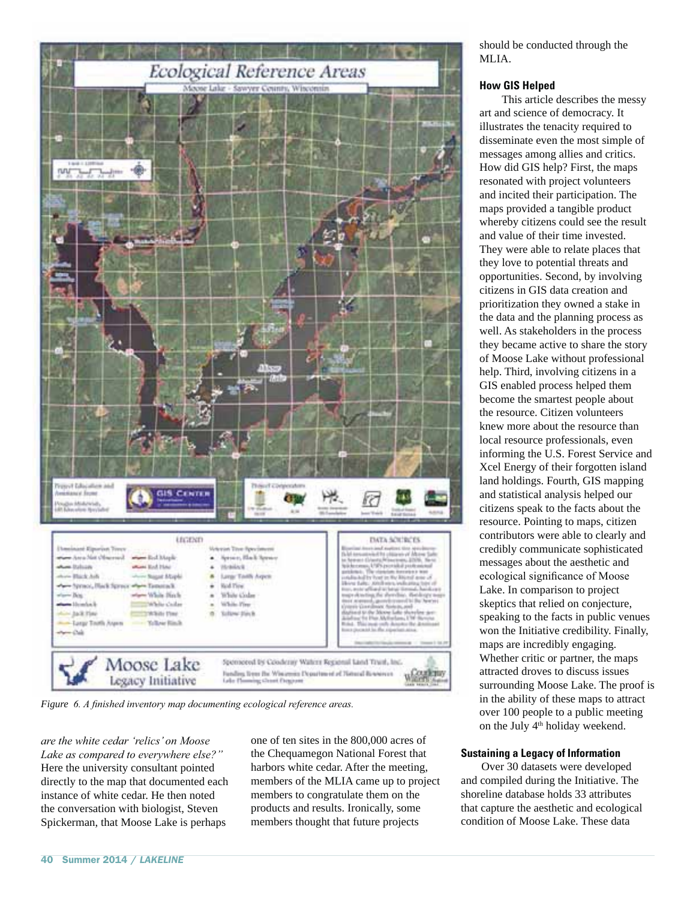

### **How GIS Helped**

 This article describes the messy art and science of democracy. It illustrates the tenacity required to disseminate even the most simple of messages among allies and critics. How did GIS help? First, the maps resonated with project volunteers and incited their participation. The maps provided a tangible product whereby citizens could see the result and value of their time invested. They were able to relate places that they love to potential threats and opportunities. Second, by involving citizens in GIS data creation and prioritization they owned a stake in the data and the planning process as well. As stakeholders in the process they became active to share the story of Moose Lake without professional help. Third, involving citizens in a GIS enabled process helped them become the smartest people about the resource. Citizen volunteers knew more about the resource than local resource professionals, even informing the U.S. Forest Service and Xcel Energy of their forgotten island land holdings. Fourth, GIS mapping and statistical analysis helped our citizens speak to the facts about the resource. Pointing to maps, citizen contributors were able to clearly and credibly communicate sophisticated messages about the aesthetic and ecological significance of Moose Lake. In comparison to project skeptics that relied on conjecture, speaking to the facts in public venues won the Initiative credibility. Finally, maps are incredibly engaging. Whether critic or partner, the maps attracted droves to discuss issues surrounding Moose Lake. The proof is in the ability of these maps to attract over 100 people to a public meeting on the July 4th holiday weekend.

#### **Sustaining a Legacy of Information**

 Over 30 datasets were developed and compiled during the Initiative. The shoreline database holds 33 attributes that capture the aesthetic and ecological condition of Moose Lake. These data



Figure 6. A finished inventory map documenting ecological reference areas.

*are the white cedar 'relics' on Moose Lake as compared to everywhere else?*" Here the university consultant pointed directly to the map that documented each instance of white cedar. He then noted the conversation with biologist, Steven Spickerman, that Moose Lake is perhaps

one of ten sites in the 800,000 acres of the Chequamegon National Forest that harbors white cedar. After the meeting, members of the MLIA came up to project members to congratulate them on the products and results. Ironically, some members thought that future projects